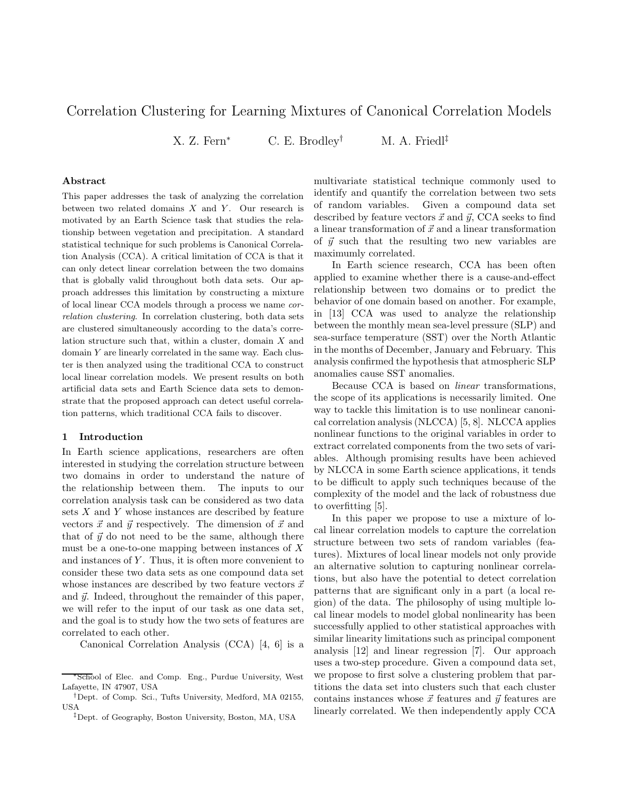## Correlation Clustering for Learning Mixtures of Canonical Correlation Models

X. Z. Fern<sup>∗</sup> C. E. Brodley† M. A. Friedl‡

# Abstract

This paper addresses the task of analyzing the correlation between two related domains  $X$  and  $Y$ . Our research is motivated by an Earth Science task that studies the relationship between vegetation and precipitation. A standard statistical technique for such problems is Canonical Correlation Analysis (CCA). A critical limitation of CCA is that it can only detect linear correlation between the two domains that is globally valid throughout both data sets. Our approach addresses this limitation by constructing a mixture of local linear CCA models through a process we name correlation clustering. In correlation clustering, both data sets are clustered simultaneously according to the data's correlation structure such that, within a cluster, domain X and domain Y are linearly correlated in the same way. Each cluster is then analyzed using the traditional CCA to construct local linear correlation models. We present results on both artificial data sets and Earth Science data sets to demonstrate that the proposed approach can detect useful correlation patterns, which traditional CCA fails to discover.

### 1 Introduction

In Earth science applications, researchers are often interested in studying the correlation structure between two domains in order to understand the nature of the relationship between them. The inputs to our correlation analysis task can be considered as two data sets X and Y whose instances are described by feature vectors  $\vec{x}$  and  $\vec{y}$  respectively. The dimension of  $\vec{x}$  and that of  $\vec{y}$  do not need to be the same, although there must be a one-to-one mapping between instances of  $X$ and instances of  $Y$ . Thus, it is often more convenient to consider these two data sets as one compound data set whose instances are described by two feature vectors  $\vec{x}$ and  $\vec{y}$ . Indeed, throughout the remainder of this paper, we will refer to the input of our task as one data set, and the goal is to study how the two sets of features are correlated to each other.

Canonical Correlation Analysis (CCA) [4, 6] is a

multivariate statistical technique commonly used to identify and quantify the correlation between two sets of random variables. Given a compound data set described by feature vectors  $\vec{x}$  and  $\vec{y}$ , CCA seeks to find a linear transformation of  $\vec{x}$  and a linear transformation of  $\vec{y}$  such that the resulting two new variables are maximumly correlated.

In Earth science research, CCA has been often applied to examine whether there is a cause-and-effect relationship between two domains or to predict the behavior of one domain based on another. For example, in [13] CCA was used to analyze the relationship between the monthly mean sea-level pressure (SLP) and sea-surface temperature (SST) over the North Atlantic in the months of December, January and February. This analysis confirmed the hypothesis that atmospheric SLP anomalies cause SST anomalies.

Because CCA is based on linear transformations, the scope of its applications is necessarily limited. One way to tackle this limitation is to use nonlinear canonical correlation analysis (NLCCA) [5, 8]. NLCCA applies nonlinear functions to the original variables in order to extract correlated components from the two sets of variables. Although promising results have been achieved by NLCCA in some Earth science applications, it tends to be difficult to apply such techniques because of the complexity of the model and the lack of robustness due to overfitting [5].

In this paper we propose to use a mixture of local linear correlation models to capture the correlation structure between two sets of random variables (features). Mixtures of local linear models not only provide an alternative solution to capturing nonlinear correlations, but also have the potential to detect correlation patterns that are significant only in a part (a local region) of the data. The philosophy of using multiple local linear models to model global nonlinearity has been successfully applied to other statistical approaches with similar linearity limitations such as principal component analysis [12] and linear regression [7]. Our approach uses a two-step procedure. Given a compound data set, we propose to first solve a clustering problem that partitions the data set into clusters such that each cluster contains instances whose  $\vec{x}$  features and  $\vec{y}$  features are linearly correlated. We then independently apply CCA

<sup>∗</sup>School of Elec. and Comp. Eng., Purdue University, West Lafayette, IN 47907, USA

<sup>†</sup>Dept. of Comp. Sci., Tufts University, Medford, MA 02155, USA

<sup>‡</sup>Dept. of Geography, Boston University, Boston, MA, USA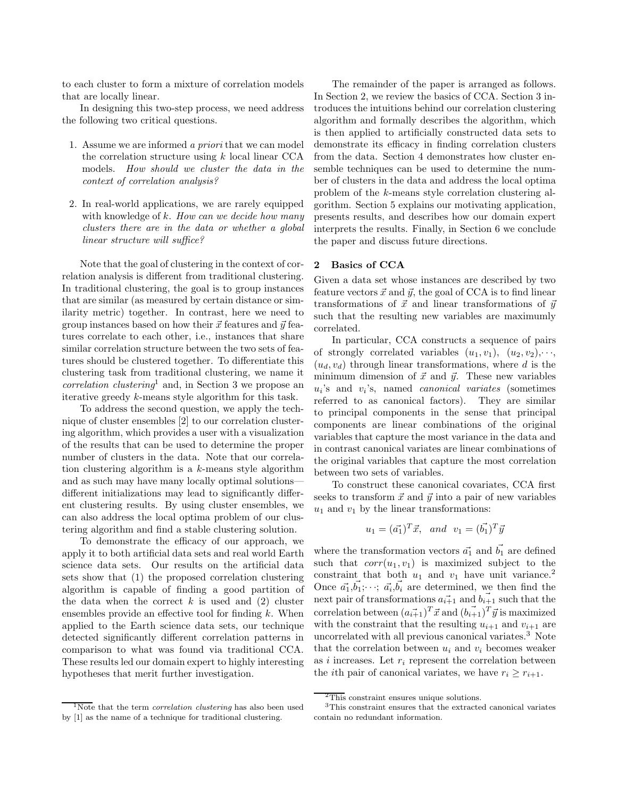to each cluster to form a mixture of correlation models that are locally linear.

In designing this two-step process, we need address the following two critical questions.

- 1. Assume we are informed a priori that we can model the correlation structure using  $k$  local linear CCA models. How should we cluster the data in the context of correlation analysis?
- 2. In real-world applications, we are rarely equipped with knowledge of  $k$ . How can we decide how many clusters there are in the data or whether a global linear structure will suffice?

Note that the goal of clustering in the context of correlation analysis is different from traditional clustering. In traditional clustering, the goal is to group instances that are similar (as measured by certain distance or similarity metric) together. In contrast, here we need to group instances based on how their  $\vec{x}$  features and  $\vec{y}$  features correlate to each other, i.e., instances that share similar correlation structure between the two sets of features should be clustered together. To differentiate this clustering task from traditional clustering, we name it  $correlation$  clustering<sup>1</sup> and, in Section 3 we propose an iterative greedy k-means style algorithm for this task.

To address the second question, we apply the technique of cluster ensembles [2] to our correlation clustering algorithm, which provides a user with a visualization of the results that can be used to determine the proper number of clusters in the data. Note that our correlation clustering algorithm is a k-means style algorithm and as such may have many locally optimal solutions different initializations may lead to significantly different clustering results. By using cluster ensembles, we can also address the local optima problem of our clustering algorithm and find a stable clustering solution.

To demonstrate the efficacy of our approach, we apply it to both artificial data sets and real world Earth science data sets. Our results on the artificial data sets show that (1) the proposed correlation clustering algorithm is capable of finding a good partition of the data when the correct  $k$  is used and  $(2)$  cluster ensembles provide an effective tool for finding  $k$ . When applied to the Earth science data sets, our technique detected significantly different correlation patterns in comparison to what was found via traditional CCA. These results led our domain expert to highly interesting hypotheses that merit further investigation.

The remainder of the paper is arranged as follows. In Section 2, we review the basics of CCA. Section 3 introduces the intuitions behind our correlation clustering algorithm and formally describes the algorithm, which is then applied to artificially constructed data sets to demonstrate its efficacy in finding correlation clusters from the data. Section 4 demonstrates how cluster ensemble techniques can be used to determine the number of clusters in the data and address the local optima problem of the k-means style correlation clustering algorithm. Section 5 explains our motivating application, presents results, and describes how our domain expert interprets the results. Finally, in Section 6 we conclude the paper and discuss future directions.

#### 2 Basics of CCA

Given a data set whose instances are described by two feature vectors  $\vec{x}$  and  $\vec{y}$ , the goal of CCA is to find linear transformations of  $\vec{x}$  and linear transformations of  $\vec{y}$ such that the resulting new variables are maximumly correlated.

In particular, CCA constructs a sequence of pairs of strongly correlated variables  $(u_1, v_1), (u_2, v_2), \cdots$ ,  $(u_d, v_d)$  through linear transformations, where d is the minimum dimension of  $\vec{x}$  and  $\vec{y}$ . These new variables  $u_i$ 's and  $v_i$ 's, named *canonical variates* (sometimes referred to as canonical factors). They are similar to principal components in the sense that principal components are linear combinations of the original variables that capture the most variance in the data and in contrast canonical variates are linear combinations of the original variables that capture the most correlation between two sets of variables.

To construct these canonical covariates, CCA first seeks to transform  $\vec{x}$  and  $\vec{y}$  into a pair of new variables  $u_1$  and  $v_1$  by the linear transformations:

$$
u_1 = (\vec{a_1})^T \vec{x}, \text{ and } v_1 = (\vec{b_1})^T \vec{y}
$$

where the transformation vectors  $\vec{a_1}$  and  $\vec{b_1}$  are defined such that  $corr(u_1, v_1)$  is maximized subject to the constraint that both  $u_1$  and  $v_1$  have unit variance.<sup>2</sup> Once  $\vec{a_1}, \vec{b_1}; \cdots; \vec{a_i}, \vec{b_i}$  are determined, we then find the next pair of transformations  $a_{i+1}$  and  $\overrightarrow{b_{i+1}}$  such that the correlation between  $(\vec{a_{i+1}})^T \vec{x}$  and  $(\vec{b_{i+1}})^T \vec{y}$  is maximized with the constraint that the resulting  $u_{i+1}$  and  $v_{i+1}$  are uncorrelated with all previous canonical variates.<sup>3</sup> Note that the correlation between  $u_i$  and  $v_i$  becomes weaker as i increases. Let  $r_i$  represent the correlation between the *i*th pair of canonical variates, we have  $r_i \geq r_{i+1}$ .

<sup>&</sup>lt;sup>1</sup>Note that the term *correlation clustering* has also been used by [1] as the name of a technique for traditional clustering.

<sup>&</sup>lt;sup>2</sup>This constraint ensures unique solutions.

<sup>3</sup>This constraint ensures that the extracted canonical variates contain no redundant information.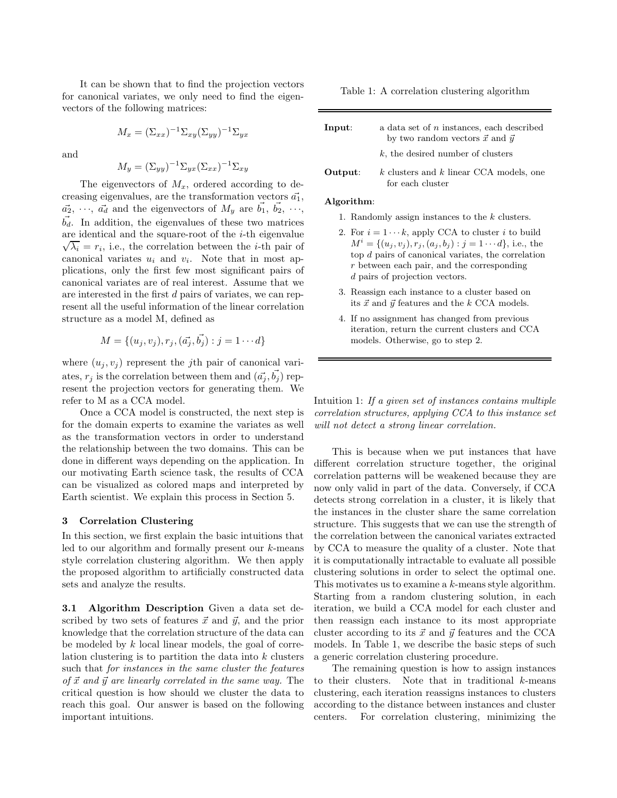It can be shown that to find the projection vectors for canonical variates, we only need to find the eigenvectors of the following matrices:

$$
M_x = (\Sigma_{xx})^{-1} \Sigma_{xy} (\Sigma_{yy})^{-1} \Sigma_{yx}
$$

and

$$
M_y = (\Sigma_{yy})^{-1} \Sigma_{yx} (\Sigma_{xx})^{-1} \Sigma_{xy}
$$

The eigenvectors of  $M_x$ , ordered according to decreasing eigenvalues, are the transformation vectors  $\vec{a_1}$ ,  $\vec{a_2}, \cdots, \vec{a_d}$  and the eigenvectors of  $M_y$  are  $\vec{b_1}, \vec{b_2}, \cdots, \vec{b_d}$  $b_d$ . In addition, the eigenvalues of these two matrices are identical and the square-root of the  $i$ -th eigenvalue  $\sqrt{\lambda_i} = r_i$ , i.e., the correlation between the *i*-th pair of canonical variates  $u_i$  and  $v_i$ . Note that in most applications, only the first few most significant pairs of canonical variates are of real interest. Assume that we are interested in the first d pairs of variates, we can represent all the useful information of the linear correlation structure as a model M, defined as

$$
M = \{(u_j, v_j), r_j, (\vec{a_j}, \vec{b_j}) : j = 1 \cdots d\}
$$

where  $(u_j, v_j)$  represent the j<sup>th</sup> pair of canonical variates,  $r_j$  is the correlation between them and  $(\vec{a_j}, \vec{b_j})$  represent the projection vectors for generating them. We refer to M as a CCA model.

Once a CCA model is constructed, the next step is for the domain experts to examine the variates as well as the transformation vectors in order to understand the relationship between the two domains. This can be done in different ways depending on the application. In our motivating Earth science task, the results of CCA can be visualized as colored maps and interpreted by Earth scientist. We explain this process in Section 5.

#### 3 Correlation Clustering

In this section, we first explain the basic intuitions that led to our algorithm and formally present our k-means style correlation clustering algorithm. We then apply the proposed algorithm to artificially constructed data sets and analyze the results.

3.1 Algorithm Description Given a data set described by two sets of features  $\vec{x}$  and  $\vec{y}$ , and the prior knowledge that the correlation structure of the data can be modeled by  $k$  local linear models, the goal of correlation clustering is to partition the data into k clusters such that for instances in the same cluster the features of  $\vec{x}$  and  $\vec{y}$  are linearly correlated in the same way. The critical question is how should we cluster the data to reach this goal. Our answer is based on the following important intuitions.

Table 1: A correlation clustering algorithm

| Input:  | a data set of $n$ instances, each described<br>by two random vectors $\vec{x}$ and $\vec{y}$ |  |  |  |  |
|---------|----------------------------------------------------------------------------------------------|--|--|--|--|
|         | $k$ , the desired number of clusters                                                         |  |  |  |  |
| Output: | $k$ clusters and $k$ linear CCA models, one<br>for each cluster                              |  |  |  |  |

#### Algorithm:

- 1. Randomly assign instances to the k clusters.
- 2. For  $i = 1 \cdots k$ , apply CCA to cluster i to build  $M^i = \{(u_j, v_j), r_j, (a_j, b_j) : j = 1 \cdots d\},$  i.e., the top d pairs of canonical variates, the correlation r between each pair, and the corresponding d pairs of projection vectors.
- 3. Reassign each instance to a cluster based on its  $\vec{x}$  and  $\vec{y}$  features and the k CCA models.
- 4. If no assignment has changed from previous iteration, return the current clusters and CCA models. Otherwise, go to step 2.

Intuition 1: If a given set of instances contains multiple correlation structures, applying CCA to this instance set will not detect a strong linear correlation.

This is because when we put instances that have different correlation structure together, the original correlation patterns will be weakened because they are now only valid in part of the data. Conversely, if CCA detects strong correlation in a cluster, it is likely that the instances in the cluster share the same correlation structure. This suggests that we can use the strength of the correlation between the canonical variates extracted by CCA to measure the quality of a cluster. Note that it is computationally intractable to evaluate all possible clustering solutions in order to select the optimal one. This motivates us to examine a k-means style algorithm. Starting from a random clustering solution, in each iteration, we build a CCA model for each cluster and then reassign each instance to its most appropriate cluster according to its  $\vec{x}$  and  $\vec{y}$  features and the CCA models. In Table 1, we describe the basic steps of such a generic correlation clustering procedure.

The remaining question is how to assign instances to their clusters. Note that in traditional  $k$ -means clustering, each iteration reassigns instances to clusters according to the distance between instances and cluster centers. For correlation clustering, minimizing the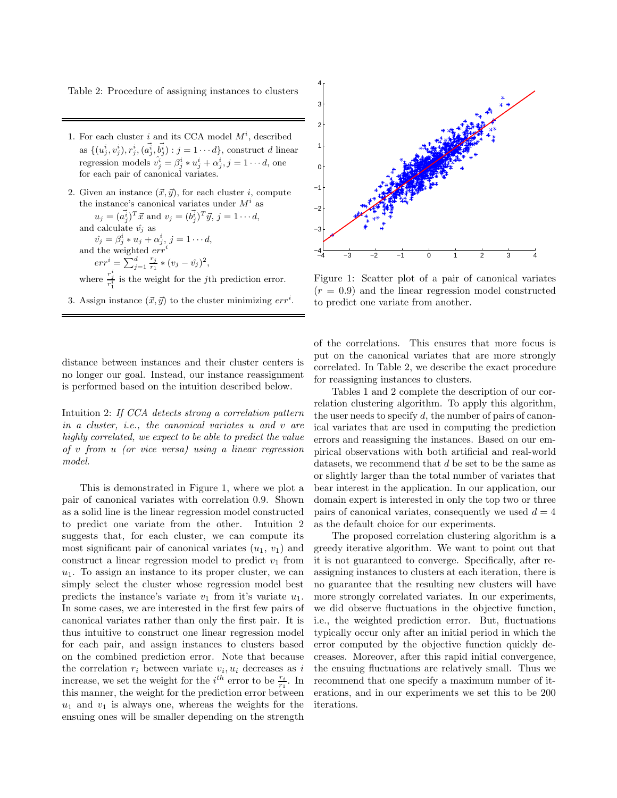Table 2: Procedure of assigning instances to clusters

- 1. For each cluster i and its CCA model  $M^i$ , described as  $\{(u_j^i, v_j^i), r_j^i, (\vec{a}_j^i, \vec{b}_j^i) : j = 1 \cdots d\}$ , construct d linear regression models  $\hat{v}_j^i = \beta_j^i * u_j^i + \alpha_j^i, j = 1 \cdots d$ , one for each pair of canonical variates.
- 2. Given an instance  $(\vec{x}, \vec{y})$ , for each cluster *i*, compute the instance's canonical variates under  $M^i$  as  $u_j = (\vec{a_j^i})^T \vec{x}$  and  $v_j = (\vec{b_j^i})^T \vec{y}, j = 1 \cdots d$ , and calculate  $\hat{v}_j$  as  $\hat{v_j} = \beta_j^i * u_j + \alpha_j^i, j = 1 \cdots d,$ and the weighted  $err^i$  $err^{i} = \sum_{j=1}^{d} \frac{r_{j}}{r_{1}} * (v_{j} - \hat{v_{j}})^{2},$ where  $\frac{r_j^2}{r_1^4}$  is the weight for the *j*th prediction error.
- 3. Assign instance  $(\vec{x}, \vec{y})$  to the cluster minimizing  $err^i$ .

distance between instances and their cluster centers is no longer our goal. Instead, our instance reassignment is performed based on the intuition described below.

Intuition 2: If CCA detects strong a correlation pattern in a cluster, i.e., the canonical variates u and v are highly correlated, we expect to be able to predict the value of v from u (or vice versa) using a linear regression model.

This is demonstrated in Figure 1, where we plot a pair of canonical variates with correlation 0.9. Shown as a solid line is the linear regression model constructed to predict one variate from the other. Intuition 2 suggests that, for each cluster, we can compute its most significant pair of canonical variates  $(u_1, v_1)$  and construct a linear regression model to predict  $v_1$  from  $u_1$ . To assign an instance to its proper cluster, we can simply select the cluster whose regression model best predicts the instance's variate  $v_1$  from it's variate  $u_1$ . In some cases, we are interested in the first few pairs of canonical variates rather than only the first pair. It is thus intuitive to construct one linear regression model for each pair, and assign instances to clusters based on the combined prediction error. Note that because the correlation  $r_i$  between variate  $v_i, u_i$  decreases as i increase, we set the weight for the  $i^{th}$  error to be  $\frac{r_i}{r_1}$ . In this manner, the weight for the prediction error between  $u_1$  and  $v_1$  is always one, whereas the weights for the ensuing ones will be smaller depending on the strength



Figure 1: Scatter plot of a pair of canonical variates  $(r = 0.9)$  and the linear regression model constructed to predict one variate from another.

of the correlations. This ensures that more focus is put on the canonical variates that are more strongly correlated. In Table 2, we describe the exact procedure for reassigning instances to clusters.

Tables 1 and 2 complete the description of our correlation clustering algorithm. To apply this algorithm, the user needs to specify  $d$ , the number of pairs of canonical variates that are used in computing the prediction errors and reassigning the instances. Based on our empirical observations with both artificial and real-world datasets, we recommend that  $d$  be set to be the same as or slightly larger than the total number of variates that bear interest in the application. In our application, our domain expert is interested in only the top two or three pairs of canonical variates, consequently we used  $d = 4$ as the default choice for our experiments.

The proposed correlation clustering algorithm is a greedy iterative algorithm. We want to point out that it is not guaranteed to converge. Specifically, after reassigning instances to clusters at each iteration, there is no guarantee that the resulting new clusters will have more strongly correlated variates. In our experiments, we did observe fluctuations in the objective function, i.e., the weighted prediction error. But, fluctuations typically occur only after an initial period in which the error computed by the objective function quickly decreases. Moreover, after this rapid initial convergence, the ensuing fluctuations are relatively small. Thus we recommend that one specify a maximum number of iterations, and in our experiments we set this to be 200 iterations.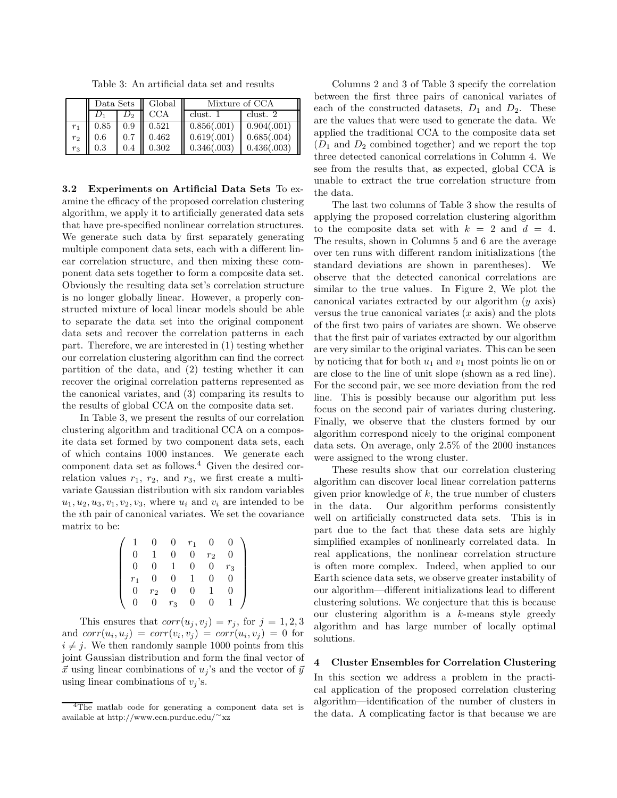Table 3: An artificial data set and results

|       | Data Sets $\parallel$ Global $\parallel$ |     |                   | Mixture of CCA |             |  |
|-------|------------------------------------------|-----|-------------------|----------------|-------------|--|
|       |                                          | D,  | CCA               | clust. 1       | clust. 2    |  |
| $r_1$ | 0.85                                     | 0.9 | $\parallel$ 0.521 | 0.856(.001)    | 0.904(.001) |  |
| $r_2$ | 0.6                                      | 0.7 | 0.462             | 0.619(.001)    | 0.685(.004) |  |
| $r_3$ | 0.3                                      |     | 0.302             | 0.346(.003)    | 0.436(.003) |  |

3.2 Experiments on Artificial Data Sets To examine the efficacy of the proposed correlation clustering algorithm, we apply it to artificially generated data sets that have pre-specified nonlinear correlation structures. We generate such data by first separately generating multiple component data sets, each with a different linear correlation structure, and then mixing these component data sets together to form a composite data set. Obviously the resulting data set's correlation structure is no longer globally linear. However, a properly constructed mixture of local linear models should be able to separate the data set into the original component data sets and recover the correlation patterns in each part. Therefore, we are interested in (1) testing whether our correlation clustering algorithm can find the correct partition of the data, and (2) testing whether it can recover the original correlation patterns represented as the canonical variates, and (3) comparing its results to the results of global CCA on the composite data set.

In Table 3, we present the results of our correlation clustering algorithm and traditional CCA on a composite data set formed by two component data sets, each of which contains 1000 instances. We generate each component data set as follows.<sup>4</sup> Given the desired correlation values  $r_1$ ,  $r_2$ , and  $r_3$ , we first create a multivariate Gaussian distribution with six random variables  $u_1, u_2, u_3, v_1, v_2, v_3$ , where  $u_i$  and  $v_i$  are intended to be the ith pair of canonical variates. We set the covariance matrix to be:

|         |                   | 0                 | r <sub>1</sub> | 0              |       |
|---------|-------------------|-------------------|----------------|----------------|-------|
| O       |                   | O                 | $\theta$       | r <sub>2</sub> |       |
|         | $\mathbf{\Omega}$ |                   |                | 0              | $r_3$ |
| $r_{1}$ | $\mathbf{\Omega}$ | ∩                 |                | ∩              |       |
|         | r <sub>2</sub>    | $\mathbf{\Omega}$ |                |                |       |
|         | 0                 | $r_3$             |                |                |       |

This ensures that  $corr(u_j, v_j) = r_j$ , for  $j = 1, 2, 3$ and  $corr(u_i, u_j) = corr(v_i, v_j) = corr(u_i, v_j) = 0$  for  $i \neq j$ . We then randomly sample 1000 points from this joint Gaussian distribution and form the final vector of  $\vec{x}$  using linear combinations of  $u_j$ 's and the vector of  $\vec{y}$ using linear combinations of  $v_j$ 's.

Columns 2 and 3 of Table 3 specify the correlation between the first three pairs of canonical variates of each of the constructed datasets,  $D_1$  and  $D_2$ . These are the values that were used to generate the data. We applied the traditional CCA to the composite data set  $(D_1 \text{ and } D_2 \text{ combined together})$  and we report the top three detected canonical correlations in Column 4. We see from the results that, as expected, global CCA is unable to extract the true correlation structure from the data.

The last two columns of Table 3 show the results of applying the proposed correlation clustering algorithm to the composite data set with  $k = 2$  and  $d = 4$ . The results, shown in Columns 5 and 6 are the average over ten runs with different random initializations (the standard deviations are shown in parentheses). We observe that the detected canonical correlations are similar to the true values. In Figure 2, We plot the canonical variates extracted by our algorithm  $(y \text{ axis})$ versus the true canonical variates  $(x \text{ axis})$  and the plots of the first two pairs of variates are shown. We observe that the first pair of variates extracted by our algorithm are very similar to the original variates. This can be seen by noticing that for both  $u_1$  and  $v_1$  most points lie on or are close to the line of unit slope (shown as a red line). For the second pair, we see more deviation from the red line. This is possibly because our algorithm put less focus on the second pair of variates during clustering. Finally, we observe that the clusters formed by our algorithm correspond nicely to the original component data sets. On average, only 2.5% of the 2000 instances were assigned to the wrong cluster.

These results show that our correlation clustering algorithm can discover local linear correlation patterns given prior knowledge of  $k$ , the true number of clusters in the data. Our algorithm performs consistently well on artificially constructed data sets. This is in part due to the fact that these data sets are highly simplified examples of nonlinearly correlated data. In real applications, the nonlinear correlation structure is often more complex. Indeed, when applied to our Earth science data sets, we observe greater instability of our algorithm—different initializations lead to different clustering solutions. We conjecture that this is because our clustering algorithm is a  $k$ -means style greedy algorithm and has large number of locally optimal solutions.

#### 4 Cluster Ensembles for Correlation Clustering

In this section we address a problem in the practical application of the proposed correlation clustering algorithm—identification of the number of clusters in the data. A complicating factor is that because we are

<sup>&</sup>lt;sup>4</sup>The matlab code for generating a component data set is available at http://www.ecn.purdue.edu/∼xz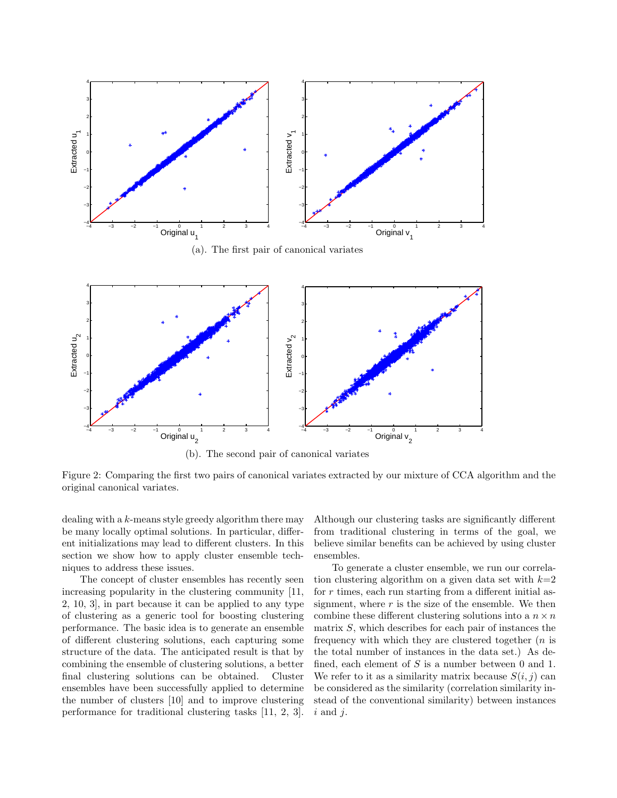

(a). The first pair of canonical variates



Figure 2: Comparing the first two pairs of canonical variates extracted by our mixture of CCA algorithm and the original canonical variates.

dealing with a k-means style greedy algorithm there may be many locally optimal solutions. In particular, different initializations may lead to different clusters. In this section we show how to apply cluster ensemble techniques to address these issues.

The concept of cluster ensembles has recently seen increasing popularity in the clustering community [11, 2, 10, 3], in part because it can be applied to any type of clustering as a generic tool for boosting clustering performance. The basic idea is to generate an ensemble of different clustering solutions, each capturing some structure of the data. The anticipated result is that by combining the ensemble of clustering solutions, a better final clustering solutions can be obtained. Cluster ensembles have been successfully applied to determine the number of clusters [10] and to improve clustering performance for traditional clustering tasks [11, 2, 3].

Although our clustering tasks are significantly different from traditional clustering in terms of the goal, we believe similar benefits can be achieved by using cluster ensembles.

To generate a cluster ensemble, we run our correlation clustering algorithm on a given data set with  $k=2$ for  $r$  times, each run starting from a different initial assignment, where  $r$  is the size of the ensemble. We then combine these different clustering solutions into a  $n \times n$ matrix  $S$ , which describes for each pair of instances the frequency with which they are clustered together (n is the total number of instances in the data set.) As defined, each element of  $S$  is a number between 0 and 1. We refer to it as a similarity matrix because  $S(i, j)$  can be considered as the similarity (correlation similarity instead of the conventional similarity) between instances  $i$  and  $j$ .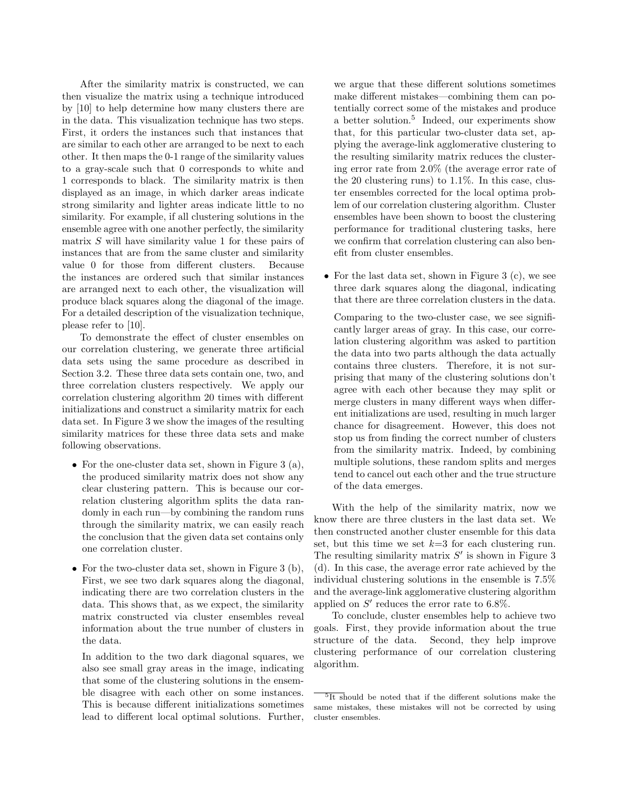After the similarity matrix is constructed, we can then visualize the matrix using a technique introduced by [10] to help determine how many clusters there are in the data. This visualization technique has two steps. First, it orders the instances such that instances that are similar to each other are arranged to be next to each other. It then maps the 0-1 range of the similarity values to a gray-scale such that 0 corresponds to white and 1 corresponds to black. The similarity matrix is then displayed as an image, in which darker areas indicate strong similarity and lighter areas indicate little to no similarity. For example, if all clustering solutions in the ensemble agree with one another perfectly, the similarity matrix  $S$  will have similarity value 1 for these pairs of instances that are from the same cluster and similarity value 0 for those from different clusters. Because the instances are ordered such that similar instances are arranged next to each other, the visualization will produce black squares along the diagonal of the image. For a detailed description of the visualization technique, please refer to [10].

To demonstrate the effect of cluster ensembles on our correlation clustering, we generate three artificial data sets using the same procedure as described in Section 3.2. These three data sets contain one, two, and three correlation clusters respectively. We apply our correlation clustering algorithm 20 times with different initializations and construct a similarity matrix for each data set. In Figure 3 we show the images of the resulting similarity matrices for these three data sets and make following observations.

- For the one-cluster data set, shown in Figure 3 (a), the produced similarity matrix does not show any clear clustering pattern. This is because our correlation clustering algorithm splits the data randomly in each run—by combining the random runs through the similarity matrix, we can easily reach the conclusion that the given data set contains only one correlation cluster.
- For the two-cluster data set, shown in Figure 3 (b), First, we see two dark squares along the diagonal, indicating there are two correlation clusters in the data. This shows that, as we expect, the similarity matrix constructed via cluster ensembles reveal information about the true number of clusters in the data.

In addition to the two dark diagonal squares, we also see small gray areas in the image, indicating that some of the clustering solutions in the ensemble disagree with each other on some instances. This is because different initializations sometimes lead to different local optimal solutions. Further, we argue that these different solutions sometimes make different mistakes—combining them can potentially correct some of the mistakes and produce a better solution.<sup>5</sup> Indeed, our experiments show that, for this particular two-cluster data set, applying the average-link agglomerative clustering to the resulting similarity matrix reduces the clustering error rate from 2.0% (the average error rate of the 20 clustering runs) to  $1.1\%$ . In this case, cluster ensembles corrected for the local optima problem of our correlation clustering algorithm. Cluster ensembles have been shown to boost the clustering performance for traditional clustering tasks, here we confirm that correlation clustering can also benefit from cluster ensembles.

• For the last data set, shown in Figure 3 (c), we see three dark squares along the diagonal, indicating that there are three correlation clusters in the data.

Comparing to the two-cluster case, we see significantly larger areas of gray. In this case, our correlation clustering algorithm was asked to partition the data into two parts although the data actually contains three clusters. Therefore, it is not surprising that many of the clustering solutions don't agree with each other because they may split or merge clusters in many different ways when different initializations are used, resulting in much larger chance for disagreement. However, this does not stop us from finding the correct number of clusters from the similarity matrix. Indeed, by combining multiple solutions, these random splits and merges tend to cancel out each other and the true structure of the data emerges.

With the help of the similarity matrix, now we know there are three clusters in the last data set. We then constructed another cluster ensemble for this data set, but this time we set  $k=3$  for each clustering run. The resulting similarity matrix  $S'$  is shown in Figure 3 (d). In this case, the average error rate achieved by the individual clustering solutions in the ensemble is 7.5% and the average-link agglomerative clustering algorithm applied on  $S'$  reduces the error rate to 6.8%.

To conclude, cluster ensembles help to achieve two goals. First, they provide information about the true structure of the data. Second, they help improve clustering performance of our correlation clustering algorithm.

<sup>&</sup>lt;sup>5</sup>It should be noted that if the different solutions make the same mistakes, these mistakes will not be corrected by using cluster ensembles.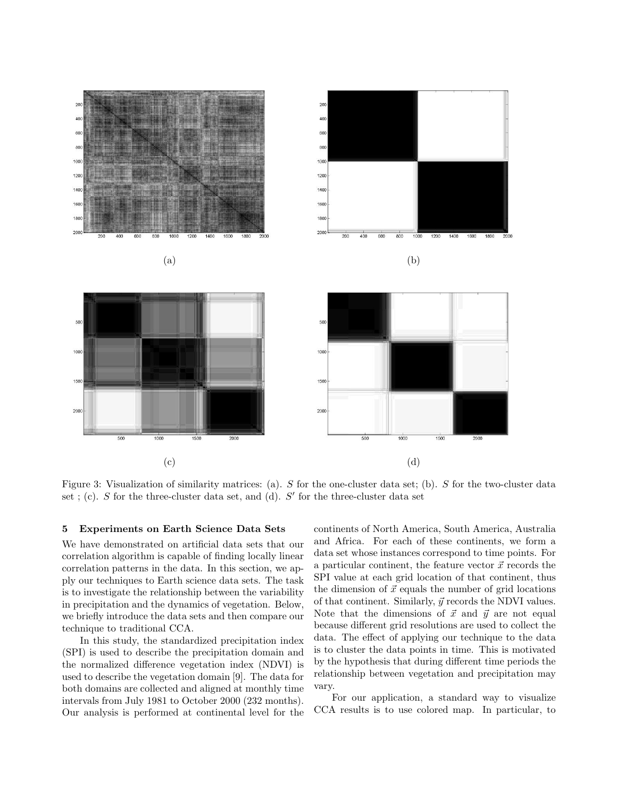

Figure 3: Visualization of similarity matrices: (a). S for the one-cluster data set; (b). S for the two-cluster data set; (c). S for the three-cluster data set, and (d). S' for the three-cluster data set

#### 5 Experiments on Earth Science Data Sets

We have demonstrated on artificial data sets that our correlation algorithm is capable of finding locally linear correlation patterns in the data. In this section, we apply our techniques to Earth science data sets. The task is to investigate the relationship between the variability in precipitation and the dynamics of vegetation. Below, we briefly introduce the data sets and then compare our technique to traditional CCA.

In this study, the standardized precipitation index (SPI) is used to describe the precipitation domain and the normalized difference vegetation index (NDVI) is used to describe the vegetation domain [9]. The data for both domains are collected and aligned at monthly time intervals from July 1981 to October 2000 (232 months). Our analysis is performed at continental level for the continents of North America, South America, Australia and Africa. For each of these continents, we form a data set whose instances correspond to time points. For a particular continent, the feature vector  $\vec{x}$  records the SPI value at each grid location of that continent, thus the dimension of  $\vec{x}$  equals the number of grid locations of that continent. Similarly,  $\vec{y}$  records the NDVI values. Note that the dimensions of  $\vec{x}$  and  $\vec{y}$  are not equal because different grid resolutions are used to collect the data. The effect of applying our technique to the data is to cluster the data points in time. This is motivated by the hypothesis that during different time periods the relationship between vegetation and precipitation may vary.

For our application, a standard way to visualize CCA results is to use colored map. In particular, to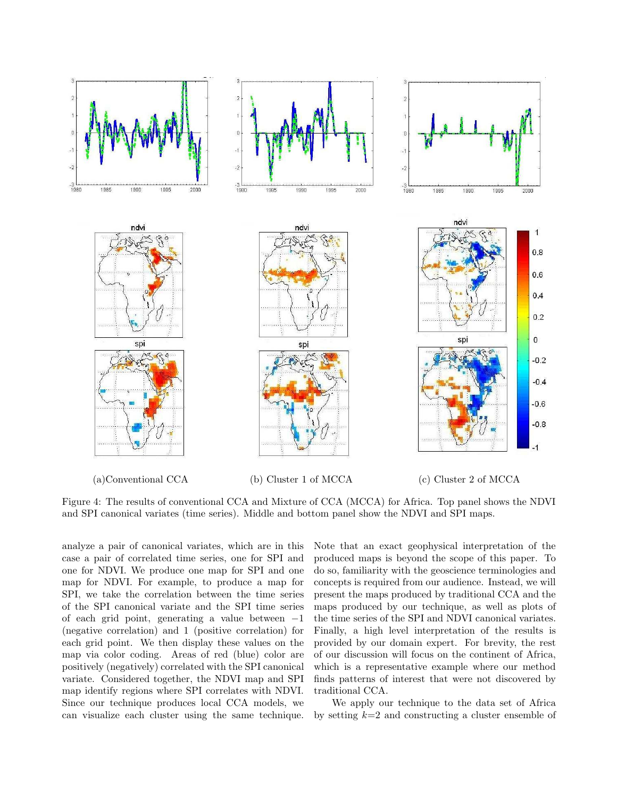

Figure 4: The results of conventional CCA and Mixture of CCA (MCCA) for Africa. Top panel shows the NDVI and SPI canonical variates (time series). Middle and bottom panel show the NDVI and SPI maps.

analyze a pair of canonical variates, which are in this case a pair of correlated time series, one for SPI and one for NDVI. We produce one map for SPI and one map for NDVI. For example, to produce a map for SPI, we take the correlation between the time series of the SPI canonical variate and the SPI time series of each grid point, generating a value between −1 (negative correlation) and 1 (positive correlation) for each grid point. We then display these values on the map via color coding. Areas of red (blue) color are positively (negatively) correlated with the SPI canonical variate. Considered together, the NDVI map and SPI map identify regions where SPI correlates with NDVI. Since our technique produces local CCA models, we can visualize each cluster using the same technique. Note that an exact geophysical interpretation of the produced maps is beyond the scope of this paper. To do so, familiarity with the geoscience terminologies and concepts is required from our audience. Instead, we will present the maps produced by traditional CCA and the maps produced by our technique, as well as plots of the time series of the SPI and NDVI canonical variates. Finally, a high level interpretation of the results is provided by our domain expert. For brevity, the rest of our discussion will focus on the continent of Africa, which is a representative example where our method finds patterns of interest that were not discovered by traditional CCA.

We apply our technique to the data set of Africa by setting  $k=2$  and constructing a cluster ensemble of